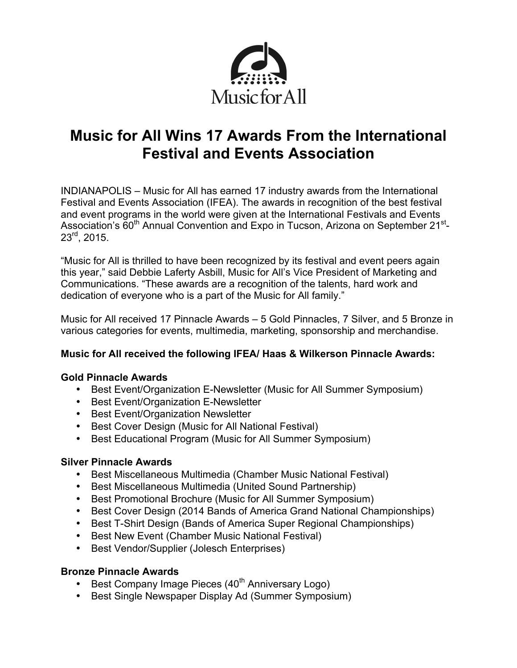

# **Music for All Wins 17 Awards From the International Festival and Events Association**

INDIANAPOLIS – Music for All has earned 17 industry awards from the International Festival and Events Association (IFEA). The awards in recognition of the best festival and event programs in the world were given at the International Festivals and Events Association's 60<sup>th</sup> Annual Convention and Expo in Tucson, Arizona on September 21<sup>st</sup>-23rd, 2015.

"Music for All is thrilled to have been recognized by its festival and event peers again this year," said Debbie Laferty Asbill, Music for All's Vice President of Marketing and Communications. "These awards are a recognition of the talents, hard work and dedication of everyone who is a part of the Music for All family."

Music for All received 17 Pinnacle Awards – 5 Gold Pinnacles, 7 Silver, and 5 Bronze in various categories for events, multimedia, marketing, sponsorship and merchandise.

# **Music for All received the following IFEA/ Haas & Wilkerson Pinnacle Awards:**

#### **Gold Pinnacle Awards**

- Best Event/Organization E-Newsletter (Music for All Summer Symposium)
- Best Event/Organization E-Newsletter
- Best Event/Organization Newsletter
- Best Cover Design (Music for All National Festival)
- Best Educational Program (Music for All Summer Symposium)

#### **Silver Pinnacle Awards**

- Best Miscellaneous Multimedia (Chamber Music National Festival)
- Best Miscellaneous Multimedia (United Sound Partnership)
- Best Promotional Brochure (Music for All Summer Symposium)
- Best Cover Design (2014 Bands of America Grand National Championships)
- Best T-Shirt Design (Bands of America Super Regional Championships)
- Best New Event (Chamber Music National Festival)
- Best Vendor/Supplier (Jolesch Enterprises)

#### **Bronze Pinnacle Awards**

- Best Company Image Pieces (40<sup>th</sup> Anniversary Logo)
- Best Single Newspaper Display Ad (Summer Symposium)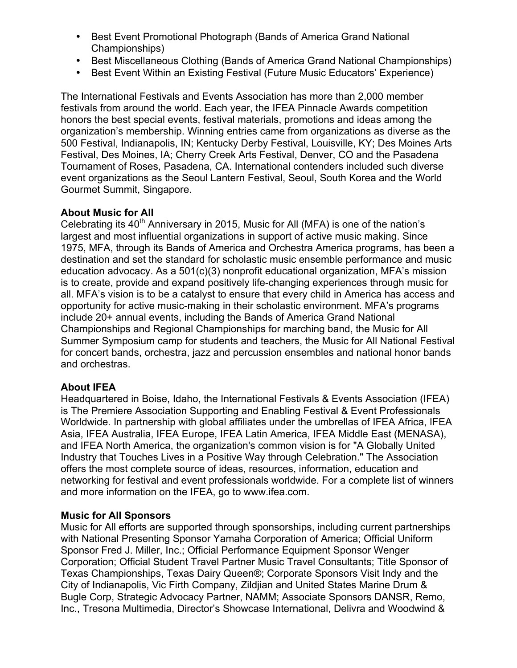- Best Event Promotional Photograph (Bands of America Grand National Championships)
- Best Miscellaneous Clothing (Bands of America Grand National Championships)
- Best Event Within an Existing Festival (Future Music Educators' Experience)

The International Festivals and Events Association has more than 2,000 member festivals from around the world. Each year, the IFEA Pinnacle Awards competition honors the best special events, festival materials, promotions and ideas among the organization's membership. Winning entries came from organizations as diverse as the 500 Festival, Indianapolis, IN; Kentucky Derby Festival, Louisville, KY; Des Moines Arts Festival, Des Moines, IA; Cherry Creek Arts Festival, Denver, CO and the Pasadena Tournament of Roses, Pasadena, CA. International contenders included such diverse event organizations as the Seoul Lantern Festival, Seoul, South Korea and the World Gourmet Summit, Singapore.

# **About Music for All**

Celebrating its  $40<sup>th</sup>$  Anniversary in 2015, Music for All (MFA) is one of the nation's largest and most influential organizations in support of active music making. Since 1975, MFA, through its Bands of America and Orchestra America programs, has been a destination and set the standard for scholastic music ensemble performance and music education advocacy. As a 501(c)(3) nonprofit educational organization, MFA's mission is to create, provide and expand positively life-changing experiences through music for all. MFA's vision is to be a catalyst to ensure that every child in America has access and opportunity for active music-making in their scholastic environment. MFA's programs include 20+ annual events, including the Bands of America Grand National Championships and Regional Championships for marching band, the Music for All Summer Symposium camp for students and teachers, the Music for All National Festival for concert bands, orchestra, jazz and percussion ensembles and national honor bands and orchestras.

# **About IFEA**

Headquartered in Boise, Idaho, the International Festivals & Events Association (IFEA) is The Premiere Association Supporting and Enabling Festival & Event Professionals Worldwide. In partnership with global affiliates under the umbrellas of IFEA Africa, IFEA Asia, IFEA Australia, IFEA Europe, IFEA Latin America, IFEA Middle East (MENASA), and IFEA North America, the organization's common vision is for "A Globally United Industry that Touches Lives in a Positive Way through Celebration." The Association offers the most complete source of ideas, resources, information, education and networking for festival and event professionals worldwide. For a complete list of winners and more information on the IFEA, go to www.ifea.com.

# **Music for All Sponsors**

Music for All efforts are supported through sponsorships, including current partnerships with National Presenting Sponsor Yamaha Corporation of America; Official Uniform Sponsor Fred J. Miller, Inc.; Official Performance Equipment Sponsor Wenger Corporation; Official Student Travel Partner Music Travel Consultants; Title Sponsor of Texas Championships, Texas Dairy Queen®; Corporate Sponsors Visit Indy and the City of Indianapolis, Vic Firth Company, Zildjian and United States Marine Drum & Bugle Corp, Strategic Advocacy Partner, NAMM; Associate Sponsors DANSR, Remo, Inc., Tresona Multimedia, Director's Showcase International, Delivra and Woodwind &